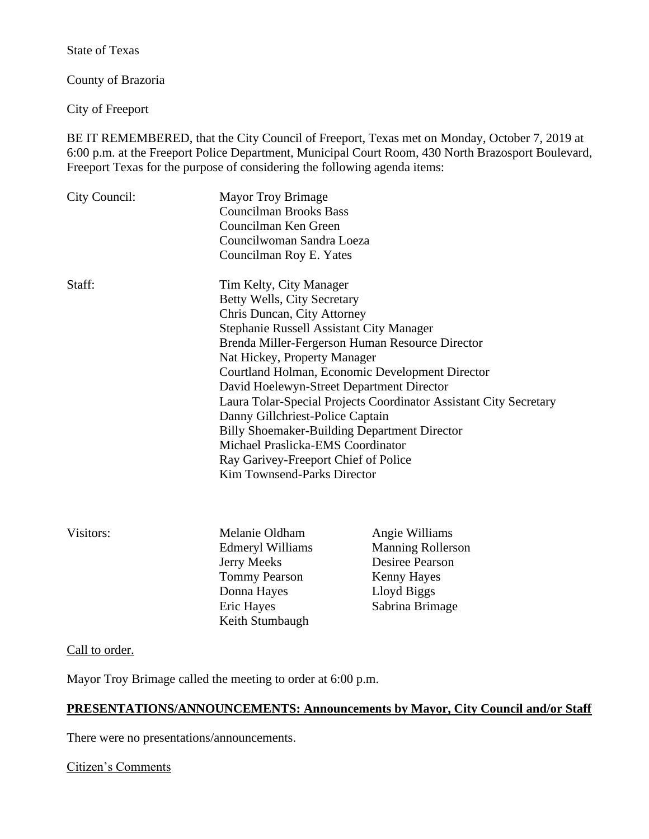State of Texas

County of Brazoria

City of Freeport

BE IT REMEMBERED, that the City Council of Freeport, Texas met on Monday, October 7, 2019 at 6:00 p.m. at the Freeport Police Department, Municipal Court Room, 430 North Brazosport Boulevard, Freeport Texas for the purpose of considering the following agenda items:

| City Council: | <b>Mayor Troy Brimage</b><br><b>Councilman Brooks Bass</b><br>Councilman Ken Green<br>Councilwoman Sandra Loeza<br>Councilman Roy E. Yates                                                                                                                                                                                                                     |                                                                                                                                                                                                                                |
|---------------|----------------------------------------------------------------------------------------------------------------------------------------------------------------------------------------------------------------------------------------------------------------------------------------------------------------------------------------------------------------|--------------------------------------------------------------------------------------------------------------------------------------------------------------------------------------------------------------------------------|
| Staff:        | Tim Kelty, City Manager<br>Betty Wells, City Secretary<br>Chris Duncan, City Attorney<br>Stephanie Russell Assistant City Manager<br>Nat Hickey, Property Manager<br>David Hoelewyn-Street Department Director<br>Danny Gillchriest-Police Captain<br>Michael Praslicka-EMS Coordinator<br>Ray Garivey-Freeport Chief of Police<br>Kim Townsend-Parks Director | Brenda Miller-Fergerson Human Resource Director<br>Courtland Holman, Economic Development Director<br>Laura Tolar-Special Projects Coordinator Assistant City Secretary<br><b>Billy Shoemaker-Building Department Director</b> |
| Visitors:     | Melanie Oldham<br>Edmeryl Williams<br>Jerry Meeks<br><b>Tommy Pearson</b><br>Donna Hayes<br><b>Eric Hayes</b>                                                                                                                                                                                                                                                  | Angie Williams<br><b>Manning Rollerson</b><br><b>Desiree Pearson</b><br><b>Kenny Hayes</b><br>Lloyd Biggs<br>Sabrina Brimage                                                                                                   |

Call to order.

Mayor Troy Brimage called the meeting to order at 6:00 p.m.

Keith Stumbaugh

# **PRESENTATIONS/ANNOUNCEMENTS: Announcements by Mayor, City Council and/or Staff**

There were no presentations/announcements.

Citizen's Comments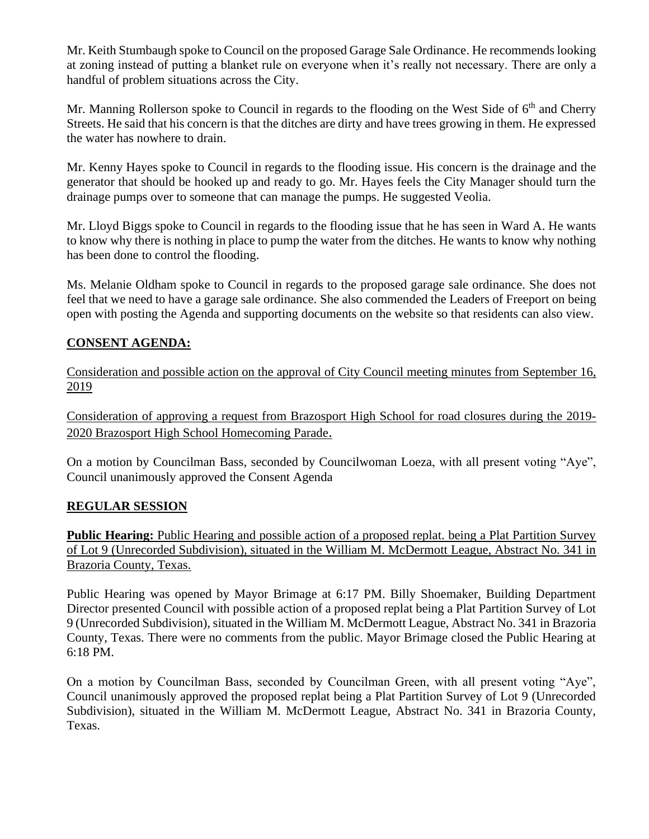Mr. Keith Stumbaugh spoke to Council on the proposed Garage Sale Ordinance. He recommends looking at zoning instead of putting a blanket rule on everyone when it's really not necessary. There are only a handful of problem situations across the City.

Mr. Manning Rollerson spoke to Council in regards to the flooding on the West Side of  $6<sup>th</sup>$  and Cherry Streets. He said that his concern is that the ditches are dirty and have trees growing in them. He expressed the water has nowhere to drain.

Mr. Kenny Hayes spoke to Council in regards to the flooding issue. His concern is the drainage and the generator that should be hooked up and ready to go. Mr. Hayes feels the City Manager should turn the drainage pumps over to someone that can manage the pumps. He suggested Veolia.

Mr. Lloyd Biggs spoke to Council in regards to the flooding issue that he has seen in Ward A. He wants to know why there is nothing in place to pump the water from the ditches. He wants to know why nothing has been done to control the flooding.

Ms. Melanie Oldham spoke to Council in regards to the proposed garage sale ordinance. She does not feel that we need to have a garage sale ordinance. She also commended the Leaders of Freeport on being open with posting the Agenda and supporting documents on the website so that residents can also view.

# **CONSENT AGENDA:**

Consideration and possible action on the approval of City Council meeting minutes from September 16, 2019

Consideration of approving a request from Brazosport High School for road closures during the 2019- 2020 Brazosport High School Homecoming Parade.

On a motion by Councilman Bass, seconded by Councilwoman Loeza, with all present voting "Aye", Council unanimously approved the Consent Agenda

# **REGULAR SESSION**

**Public Hearing:** Public Hearing and possible action of a proposed replat. being a Plat Partition Survey of Lot 9 (Unrecorded Subdivision), situated in the William M. McDermott League, Abstract No. 341 in Brazoria County, Texas.

Public Hearing was opened by Mayor Brimage at 6:17 PM. Billy Shoemaker, Building Department Director presented Council with possible action of a proposed replat being a Plat Partition Survey of Lot 9 (Unrecorded Subdivision), situated in the William M. McDermott League, Abstract No. 341 in Brazoria County, Texas. There were no comments from the public. Mayor Brimage closed the Public Hearing at 6:18 PM.

On a motion by Councilman Bass, seconded by Councilman Green, with all present voting "Aye", Council unanimously approved the proposed replat being a Plat Partition Survey of Lot 9 (Unrecorded Subdivision), situated in the William M. McDermott League, Abstract No. 341 in Brazoria County, Texas.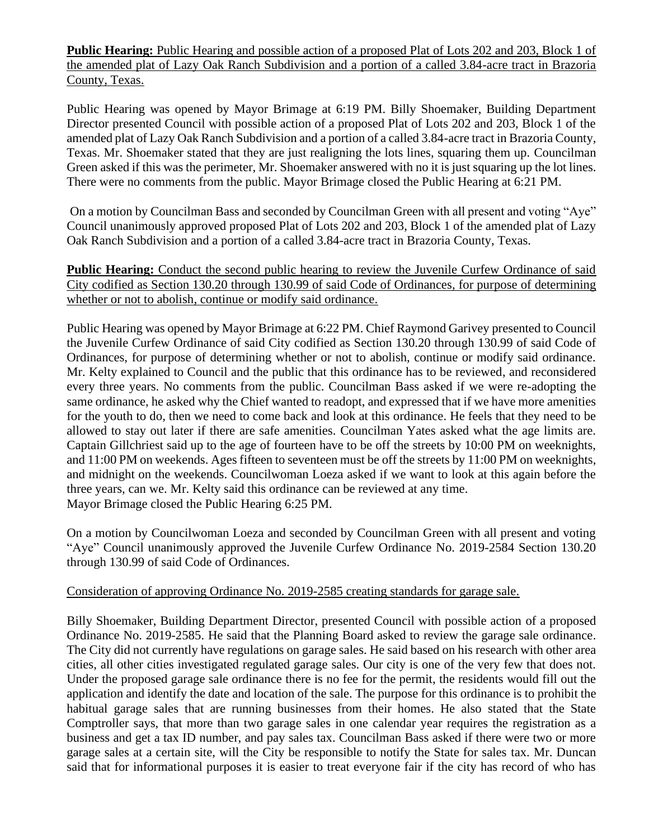**Public Hearing:** Public Hearing and possible action of a proposed Plat of Lots 202 and 203, Block 1 of the amended plat of Lazy Oak Ranch Subdivision and a portion of a called 3.84-acre tract in Brazoria County, Texas.

Public Hearing was opened by Mayor Brimage at 6:19 PM. Billy Shoemaker, Building Department Director presented Council with possible action of a proposed Plat of Lots 202 and 203, Block 1 of the amended plat of Lazy Oak Ranch Subdivision and a portion of a called 3.84-acre tract in Brazoria County, Texas. Mr. Shoemaker stated that they are just realigning the lots lines, squaring them up. Councilman Green asked if this was the perimeter, Mr. Shoemaker answered with no it is just squaring up the lot lines. There were no comments from the public. Mayor Brimage closed the Public Hearing at 6:21 PM.

On a motion by Councilman Bass and seconded by Councilman Green with all present and voting "Aye" Council unanimously approved proposed Plat of Lots 202 and 203, Block 1 of the amended plat of Lazy Oak Ranch Subdivision and a portion of a called 3.84-acre tract in Brazoria County, Texas.

**Public Hearing:** Conduct the second public hearing to review the Juvenile Curfew Ordinance of said City codified as Section 130.20 through 130.99 of said Code of Ordinances, for purpose of determining whether or not to abolish, continue or modify said ordinance.

Public Hearing was opened by Mayor Brimage at 6:22 PM. Chief Raymond Garivey presented to Council the Juvenile Curfew Ordinance of said City codified as Section 130.20 through 130.99 of said Code of Ordinances, for purpose of determining whether or not to abolish, continue or modify said ordinance. Mr. Kelty explained to Council and the public that this ordinance has to be reviewed, and reconsidered every three years. No comments from the public. Councilman Bass asked if we were re-adopting the same ordinance, he asked why the Chief wanted to readopt, and expressed that if we have more amenities for the youth to do, then we need to come back and look at this ordinance. He feels that they need to be allowed to stay out later if there are safe amenities. Councilman Yates asked what the age limits are. Captain Gillchriest said up to the age of fourteen have to be off the streets by 10:00 PM on weeknights, and 11:00 PM on weekends. Ages fifteen to seventeen must be off the streets by 11:00 PM on weeknights, and midnight on the weekends. Councilwoman Loeza asked if we want to look at this again before the three years, can we. Mr. Kelty said this ordinance can be reviewed at any time. Mayor Brimage closed the Public Hearing 6:25 PM.

On a motion by Councilwoman Loeza and seconded by Councilman Green with all present and voting "Aye" Council unanimously approved the Juvenile Curfew Ordinance No. 2019-2584 Section 130.20 through 130.99 of said Code of Ordinances.

### Consideration of approving Ordinance No. 2019-2585 creating standards for garage sale.

Billy Shoemaker, Building Department Director, presented Council with possible action of a proposed Ordinance No. 2019-2585. He said that the Planning Board asked to review the garage sale ordinance. The City did not currently have regulations on garage sales. He said based on his research with other area cities, all other cities investigated regulated garage sales. Our city is one of the very few that does not. Under the proposed garage sale ordinance there is no fee for the permit, the residents would fill out the application and identify the date and location of the sale. The purpose for this ordinance is to prohibit the habitual garage sales that are running businesses from their homes. He also stated that the State Comptroller says, that more than two garage sales in one calendar year requires the registration as a business and get a tax ID number, and pay sales tax. Councilman Bass asked if there were two or more garage sales at a certain site, will the City be responsible to notify the State for sales tax. Mr. Duncan said that for informational purposes it is easier to treat everyone fair if the city has record of who has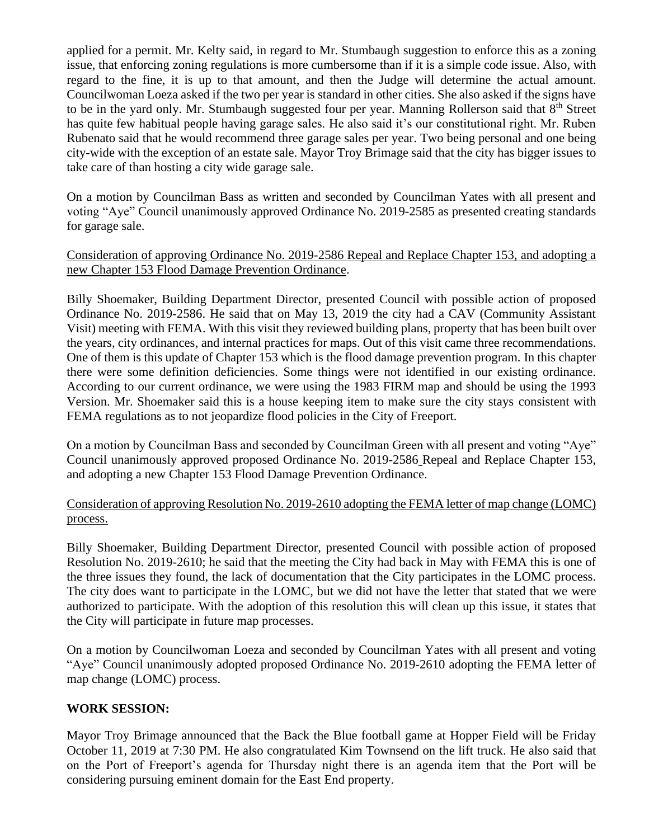applied for a permit. Mr. Kelty said, in regard to Mr. Stumbaugh suggestion to enforce this as a zoning issue, that enforcing zoning regulations is more cumbersome than if it is a simple code issue. Also, with regard to the fine, it is up to that amount, and then the Judge will determine the actual amount. Councilwoman Loeza asked if the two per year is standard in other cities. She also asked if the signs have to be in the yard only. Mr. Stumbaugh suggested four per year. Manning Rollerson said that 8<sup>th</sup> Street has quite few habitual people having garage sales. He also said it's our constitutional right. Mr. Ruben Rubenato said that he would recommend three garage sales per year. Two being personal and one being city-wide with the exception of an estate sale. Mayor Troy Brimage said that the city has bigger issues to take care of than hosting a city wide garage sale.

On a motion by Councilman Bass as written and seconded by Councilman Yates with all present and voting "Aye" Council unanimously approved Ordinance No. 2019-2585 as presented creating standards for garage sale.

## Consideration of approving Ordinance No. 2019-2586 Repeal and Replace Chapter 153, and adopting a new Chapter 153 Flood Damage Prevention Ordinance.

Billy Shoemaker, Building Department Director, presented Council with possible action of proposed Ordinance No. 2019-2586. He said that on May 13, 2019 the city had a CAV (Community Assistant Visit) meeting with FEMA. With this visit they reviewed building plans, property that has been built over the years, city ordinances, and internal practices for maps. Out of this visit came three recommendations. One of them is this update of Chapter 153 which is the flood damage prevention program. In this chapter there were some definition deficiencies. Some things were not identified in our existing ordinance. According to our current ordinance, we were using the 1983 FIRM map and should be using the 1993 Version. Mr. Shoemaker said this is a house keeping item to make sure the city stays consistent with FEMA regulations as to not jeopardize flood policies in the City of Freeport.

On a motion by Councilman Bass and seconded by Councilman Green with all present and voting "Aye" Council unanimously approved proposed Ordinance No. 2019-2586 Repeal and Replace Chapter 153, and adopting a new Chapter 153 Flood Damage Prevention Ordinance.

# Consideration of approving Resolution No. 2019-2610 adopting the FEMA letter of map change (LOMC) process.

Billy Shoemaker, Building Department Director, presented Council with possible action of proposed Resolution No. 2019-2610; he said that the meeting the City had back in May with FEMA this is one of the three issues they found, the lack of documentation that the City participates in the LOMC process. The city does want to participate in the LOMC, but we did not have the letter that stated that we were authorized to participate. With the adoption of this resolution this will clean up this issue, it states that the City will participate in future map processes.

On a motion by Councilwoman Loeza and seconded by Councilman Yates with all present and voting "Aye" Council unanimously adopted proposed Ordinance No. 2019-2610 adopting the FEMA letter of map change (LOMC) process.

# **WORK SESSION:**

Mayor Troy Brimage announced that the Back the Blue football game at Hopper Field will be Friday October 11, 2019 at 7:30 PM. He also congratulated Kim Townsend on the lift truck. He also said that on the Port of Freeport's agenda for Thursday night there is an agenda item that the Port will be considering pursuing eminent domain for the East End property.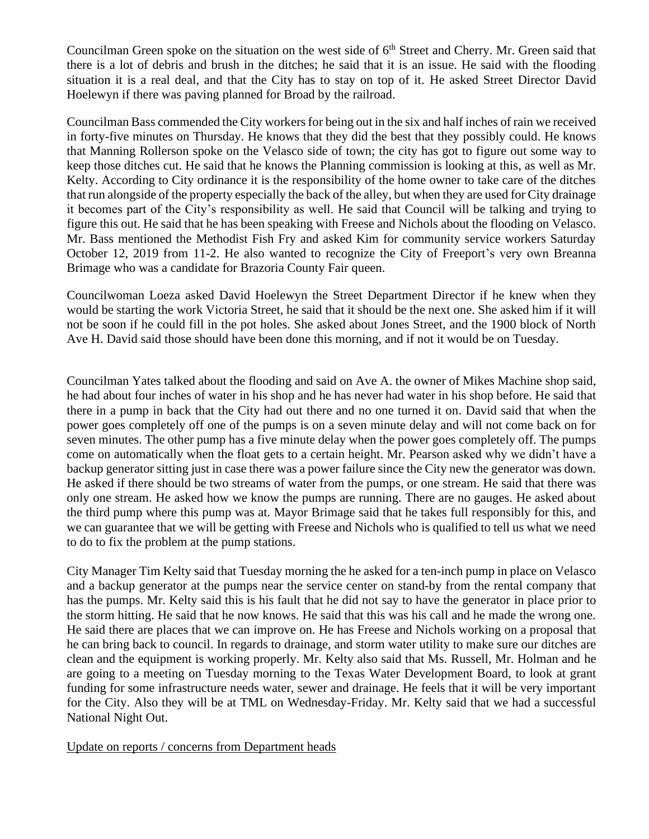Councilman Green spoke on the situation on the west side of  $6<sup>th</sup>$  Street and Cherry. Mr. Green said that there is a lot of debris and brush in the ditches; he said that it is an issue. He said with the flooding situation it is a real deal, and that the City has to stay on top of it. He asked Street Director David Hoelewyn if there was paving planned for Broad by the railroad.

Councilman Bass commended the City workers for being out in the six and half inches of rain we received in forty-five minutes on Thursday. He knows that they did the best that they possibly could. He knows that Manning Rollerson spoke on the Velasco side of town; the city has got to figure out some way to keep those ditches cut. He said that he knows the Planning commission is looking at this, as well as Mr. Kelty. According to City ordinance it is the responsibility of the home owner to take care of the ditches that run alongside of the property especially the back of the alley, but when they are used for City drainage it becomes part of the City's responsibility as well. He said that Council will be talking and trying to figure this out. He said that he has been speaking with Freese and Nichols about the flooding on Velasco. Mr. Bass mentioned the Methodist Fish Fry and asked Kim for community service workers Saturday October 12, 2019 from 11-2. He also wanted to recognize the City of Freeport's very own Breanna Brimage who was a candidate for Brazoria County Fair queen.

Councilwoman Loeza asked David Hoelewyn the Street Department Director if he knew when they would be starting the work Victoria Street, he said that it should be the next one. She asked him if it will not be soon if he could fill in the pot holes. She asked about Jones Street, and the 1900 block of North Ave H. David said those should have been done this morning, and if not it would be on Tuesday.

Councilman Yates talked about the flooding and said on Ave A. the owner of Mikes Machine shop said, he had about four inches of water in his shop and he has never had water in his shop before. He said that there in a pump in back that the City had out there and no one turned it on. David said that when the power goes completely off one of the pumps is on a seven minute delay and will not come back on for seven minutes. The other pump has a five minute delay when the power goes completely off. The pumps come on automatically when the float gets to a certain height. Mr. Pearson asked why we didn't have a backup generator sitting just in case there was a power failure since the City new the generator was down. He asked if there should be two streams of water from the pumps, or one stream. He said that there was only one stream. He asked how we know the pumps are running. There are no gauges. He asked about the third pump where this pump was at. Mayor Brimage said that he takes full responsibly for this, and we can guarantee that we will be getting with Freese and Nichols who is qualified to tell us what we need to do to fix the problem at the pump stations.

City Manager Tim Kelty said that Tuesday morning the he asked for a ten-inch pump in place on Velasco and a backup generator at the pumps near the service center on stand-by from the rental company that has the pumps. Mr. Kelty said this is his fault that he did not say to have the generator in place prior to the storm hitting. He said that he now knows. He said that this was his call and he made the wrong one. He said there are places that we can improve on. He has Freese and Nichols working on a proposal that he can bring back to council. In regards to drainage, and storm water utility to make sure our ditches are clean and the equipment is working properly. Mr. Kelty also said that Ms. Russell, Mr. Holman and he are going to a meeting on Tuesday morning to the Texas Water Development Board, to look at grant funding for some infrastructure needs water, sewer and drainage. He feels that it will be very important for the City. Also they will be at TML on Wednesday-Friday. Mr. Kelty said that we had a successful National Night Out.

Update on reports / concerns from Department heads